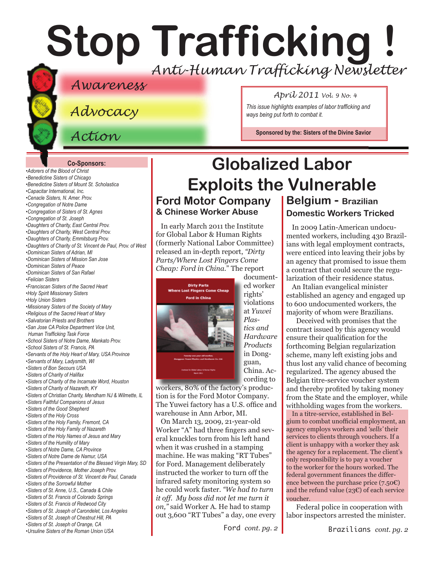# **Stop Trafficking !** *Anti-Human Trafficking Newsletter*

### *Awareness*

*Advocacy*

*Action*

#### *April 2011 Vol. 9 No. 4*

*This issue highlights examples of labor trafficking and ways being put forth to combat it.*

**Sponsored by the: [Sisters of the Divine Savior](http://sdssisters.org)**

#### **Co-Sponsors:**

*[•Adorers of the Blood of Christ](http://www.adorers.org/) •[Benedictine Sisters of Chicago](http://www.osbchicago.org/index.htm) [•Benedictine Sisters of Mount St. Scholastica](http://www.mountosb.org/index.html) [•Capacitar International, Inc.]( http://www.capacitar.org ) •[Cenacle Sisters, N. Amer. Prov.](http://www.cenaclesisters.org/) [•Congregation of Notre Dame](http://www.cnd-m.com/index.html) [•Congregation of Sisters of St. Agnes](http://www.csasisters.org/) •[Congregation of St. Joseph](http://www.scjoseph.org) [•Daughters of Charity, East Central Prov.](http://www.doc-ecp.org) [•Daughters of Charity, West Central Prov.](http://www.daughters-of-charity.org) •[Daughters of Charity, Emmitsburg Prov.](http://www.thedaughtersofcharity.org/) •[Daughters of Charity of St. Vincent de Paul, Prov. of West](http://www.daughtersofcharity.com) •[Dominican Sisters of Adrian, MI]( http://www.adriandominicans.org/ ) [•Dominican Sisters of Mission San Jose](http://www.msjdominicans.org/) •[Dominican Sisters of Peace](http://www.oppeace.org/ ) [•Dominican Sisters of San Rafael](http://www.sanrafaelop.org/) [•Felician](http://www.feliciansisters.org) Sisters [•Franciscan Sisters of](http://www.fssh.com/) the Sacred Heart •[Holy Spirit Missionary Sisters]( http://www.ssps-usa.org) [•Holy Union Sisters](http://www.holyunionsisters.org/) •[Missionary Sisters of the Society of Mary]( http://www.maristmissionarysmsm.org/) [•Religious of the Sacred Heart of Mary](http://www.rshm.org) •[Salvatorian Priests and Brothers]( http://www.salvatorians.org) •[San Jose CA Police Department Vice Unit,](http://www.sjpd.org/stopht)  [Human Trafficking Task Force](http://www.sjpd.org/stopht) [•School Sisters of Notre Dame, Mankato Prov.](http://www.ssndmankato.org) •[School Sisters of St. Francis, PA]( http://www.schoolsistersosf.org) [•Servants of the Holy Heart of Mary, USA Province](http://www.sscm-usa.org/) [•Servants of Mary, Ladysmith, WI](http://servitesisters.org) [•Sisters of Bon Secours USA](http://www.bonsecours.org/us) [•Sisters of Charity of Halifax](http://www.schalifax.ca) [•Sisters of Charity of the Incarnate Word, Houston](http://www.sistersofcharity.org) [•Sisters of Charity of Nazareth, KY](http://www.scnfamily.org/) •Sisters of [Christian Charity, Mendham](http://www.scceast.org) NJ [& Wilmette, IL](http://www.sccwilmette.org)  [•Sisters Faithful Companions of Jesus](http://www.fcjsisters.org) •[Sisters of the Good Shepherd]( http://www.goodshepherdsisters.org/) •[Sisters of the Holy Cross](http://www.cscsisters.org/) [•Sisters of the Holy Family, Fremont, CA](http://www.holyfamilysisters.org/) •[Sisters of the Holy Family of Nazareth](http://www.nazarethcsfn.org/) [•Sisters of the Holy Names of Jesus and Mary](http://www.snjm.org/) [•Sisters of the Humility of Mary](http://www.humilityofmary.org) •[Sisters of Notre Dame, CA Province](http://www.sndca.org/) [•Sisters of Notre Dame](http://www.sndden.org/) de Namur, USA •[Sisters of the Presentation of the Blessed Virgin Mary, SD](http://www.presentationsisters.org/) [•Sisters of Providence, Mother Joseph Prov.](http://www.sistersofprovidence.net) [•Sisters of Providence of St. Vincent de Paul, Canada](http://www.providence.ca) [•Sisters of the Sorrowful Mother](www.ssmfranciscans.org) [•Sisters of St. Anne, U.S., Canada & Chile](http://sistersofsaintanne.org/) [•Sisters of St. Francis of Colorado Springs](http://www.stfrancis.org) [•Sisters of St. Francis of Redwood City](http://www.stfrancisprovince.org) [•Sisters of St. Joseph of Carondelet, Los Angeles](http://www.csjla.org) [•Sisters of St. Joseph of](http://www.ssjphila.org/) Chestnut Hill, PA [•Sisters of St. Joseph of Orange, CA](http://www.sistersofstjosephorange.org/) • •***[Ursuline Sisters of the Roman Union USA](http://usaromanunionursulines.org/) Brazilians** *cont. pg. 2* **Brazilians** *cont. pg. 2* 

### **Ford Motor Company Belgium - Brazilian Globalized Labor Exploits the Vulnerable**

**& Chinese Worker Abuse**

In early March 2011 the Institute for Global Labor & Human Rights (formerly National Labor Committee) released an in-depth report, *"Dirty Parts/Where Lost Fingers Come Cheap: Ford in China.*" The report



documented worker rights' violations at *Yuwei Plastics and Hardware Products*  in Dongguan, China. According to

workers, 80% of the factory's production is for the Ford Motor Company. The Yuwei factory has a U.S. office and warehouse in Ann Arbor, MI.

On March 13, 2009, 21-year-old Worker "A" had three fingers and several knuckles torn from his left hand when it was crushed in a stamping machine. He was making "RT Tubes" for Ford. Management deliberately instructed the worker to turn off the infrared safety monitoring system so he could work faster. *"We had to turn it off. My boss did not let me turn it on,"* said Worker A. He had to stamp out 3,600 "RT Tubes" a day, one every

Ford *cont. pg. 2*

### **Domestic Workers Tricked**

In 2009 Latin-American undocumented workers, including 430 Brazilians with legal employment contracts, were enticed into leaving their jobs by an agency that promised to issue them a contract that could secure the regularization of their residence status.

An Italian evangelical minister established an agency and engaged up to 600 undocumented workers, the majority of whom were Brazilians.

Deceived with promises that the contract issued by this agency would ensure their qualification for the forthcoming Belgian regularization scheme, many left existing jobs and thus lost any valid chance of becoming regularized. The agency abused the Belgian titre-service voucher system and thereby profited by taking money from the State and the employer, while withholding wages from the workers.

In a titre-service, established in Belgium to combat unofficial employment, an agency employs workers and *'sells'* their services to clients through vouchers. If a client is unhappy with a worker they ask the agency for a replacement. The client's only responsibility is to pay a voucher to the worker for the hours worked. The federal government finances the difference between the purchase price  $(7.50C)$ and the refund value (23€) of each service voucher.

Federal police in cooperation with labor inspectors arrested the minister.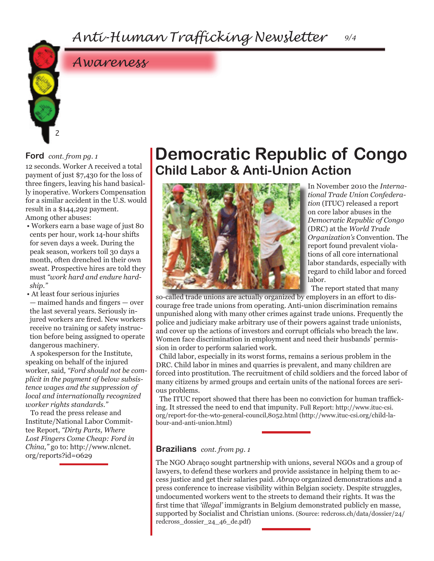

### *Awareness*

#### **Ford** *cont. from pg. 1*

12 seconds. Worker A received a total payment of just \$7,430 for the loss of three fingers, leaving his hand basically inoperative. Workers Compensation for a similar accident in the U.S. would result in a \$144,292 payment. Among other abuses:

• Workers earn a base wage of just 80 cents per hour, work 14-hour shifts for seven days a week. During the peak season, workers toil 30 days a month, often drenched in their own sweat. Prospective hires are told they must *"work hard and endure hardship."*

• At least four serious injuries — maimed hands and fingers — over the last several years. Seriously injured workers are fired. New workers receive no training or safety instruction before being assigned to operate dangerous machinery.

A spokesperson for the Institute, speaking on behalf of the injured worker, said*, "Ford should not be complicit in the payment of below subsistence wages and the suppression of local and internationally recognized worker rights standards."*

To read the press release and Institute/National Labor Committee Report, *"Dirty Parts, Where Lost Fingers Come Cheap: Ford in China,"* go to: http://www.nlcnet. org/reports?id=0629

### **Democratic Republic of Congo Child Labor & Anti-Union Action**



In November 2010 the *International Trade Union Confederation* (ITUC) released a report on core labor abuses in the *Democratic Republic of Congo*  (DRC) at the *World Trade Organization's* Convention. The report found prevalent violations of all core international labor standards, especially with regard to child labor and forced labor.

The report stated that many

so-called trade unions are actually organized by employers in an effort to discourage free trade unions from operating. Anti-union discrimination remains unpunished along with many other crimes against trade unions. Frequently the police and judiciary make arbitrary use of their powers against trade unionists, and cover up the actions of investors and corrupt officials who breach the law. Women face discrimination in employment and need their husbands' permission in order to perform salaried work.

Child labor, especially in its worst forms, remains a serious problem in the DRC. Child labor in mines and quarries is prevalent, and many children are forced into prostitution. The recruitment of child soldiers and the forced labor of many citizens by armed groups and certain units of the national forces are serious problems.

The ITUC report showed that there has been no conviction for human trafficking. It stressed the need to end that impunity. Full Report: http://www.ituc-csi. org/report-for-the-wto-general-council,8052.html (http://www.ituc-csi.org/child-labour-and-anti-union.html)

#### **Brazilians** *cont. from pg. 1*

The NGO Abraço sought partnership with unions, several NGOs and a group of lawyers, to defend these workers and provide assistance in helping them to access justice and get their salaries paid. *Abraço* organized demonstrations and a press conference to increase visibility within Belgian society. Despite struggles, undocumented workers went to the streets to demand their rights. It was the first time that *'illegal'* immigrants in Belgium demonstrated publicly en masse, supported by Socialist and Christian unions. (Source: redcross.ch/data/dossier/24/ redcross\_dossier\_24\_46\_de.pdf)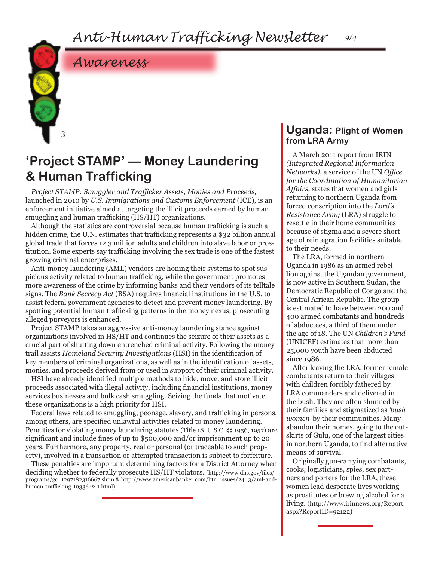

3

### **'Project STAMP' — Money Laundering & Human Trafficking**

*Project STAMP: Smuggler and Trafficker Assets, Monies and Proceeds,*  launched in 2010 by *U.S. Immigrations and Customs Enforcement* (ICE), is an enforcement initiative aimed at targeting the illicit proceeds earned by human smuggling and human trafficking (HS/HT) organizations.

Although the statistics are controversial because human trafficking is such a hidden crime, the U.N. estimates that trafficking represents a \$32 billion annual global trade that forces 12.3 million adults and children into slave labor or prostitution. Some experts say trafficking involving the sex trade is one of the fastest growing criminal enterprises.

Anti-money laundering (AML) vendors are honing their systems to spot suspicious activity related to human trafficking, while the government promotes more awareness of the crime by informing banks and their vendors of its telltale signs. The *Bank Secrecy Act* (BSA) requires financial institutions in the U.S. to assist federal government agencies to detect and prevent money laundering. By spotting potential human trafficking patterns in the money nexus, prosecuting alleged purveyors is enhanced.

Project STAMP takes an aggressive anti-money laundering stance against organizations involved in HS/HT and continues the seizure of their assets as a crucial part of shutting down entrenched criminal activity. Following the money trail assists *Homeland Security Investigations* (HSI) in the identification of key members of criminal organizations, as well as in the identification of assets, monies, and proceeds derived from or used in support of their criminal activity.

HSI have already identified multiple methods to hide, move, and store illicit proceeds associated with illegal activity, including financial institutions, money services businesses and bulk cash smuggling. Seizing the funds that motivate these organizations is a high priority for HSI.

Federal laws related to smuggling, peonage, slavery, and trafficking in persons, among others, are specified unlawful activities related to money laundering. Penalties for violating money laundering statutes (Title 18, U.S.C. §§ 1956, 1957) are significant and include fines of up to \$500,000 and/or imprisonment up to 20 years. Furthermore, any property, real or personal (or traceable to such property), involved in a transaction or attempted transaction is subject to forfeiture.

These penalties are important determining factors for a District Attorney when deciding whether to federally prosecute HS/HT violators. (http://www.dhs.gov/files/ programs/gc\_1297182316667.shtm & http://www.americanbanker.com/btn\_issues/24\_3/aml-andhuman-trafficking-1033642-1.html)

#### **Uganda: Plight of Women from LRA Army**

A March 2011 report from IRIN *(Integrated Regional Information Networks)*, a service of the UN *Office for the Coordination of Humanitarian Affairs,* states that women and girls returning to northern Uganda from forced conscription into the *Lord's Resistance Army* (LRA) struggle to resettle in their home communities because of stigma and a severe shortage of reintegration facilities suitable to their needs.

The LRA, formed in northern Uganda in 1986 as an armed rebellion against the Ugandan government, is now active in Southern Sudan, the Democratic Republic of Congo and the Central African Republic. The group is estimated to have between 200 and 400 armed combatants and hundreds of abductees, a third of them under the age of 18. The UN *Children's Fund*  (UNICEF) estimates that more than 25,000 youth have been abducted since 1986.

After leaving the LRA, former female combatants return to their villages with children forcibly fathered by LRA commanders and delivered in the bush. They are often shunned by their families and stigmatized as *'bush women'* by their communities. Many abandon their homes, going to the outskirts of Gulu, one of the largest cities in northern Uganda, to find alternative means of survival.

Originally gun-carrying combatants, cooks, logisticians, spies, sex partners and porters for the LRA, these women lead desperate lives working as prostitutes or brewing alcohol for a living. (http://www.irinnews.org/Report. aspx?ReportID=92122)

*9/4*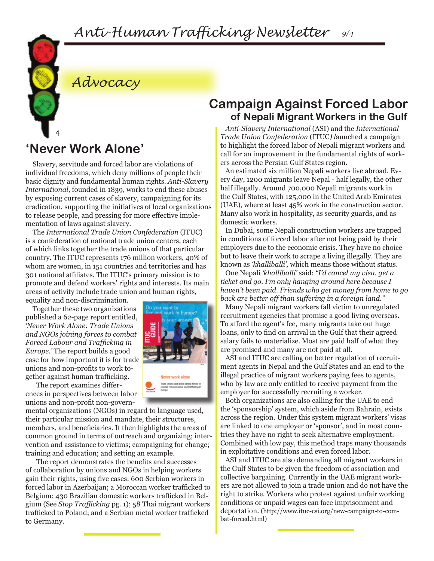

*Advocacy*

### **'Never Work Alone'**

Slavery, servitude and forced labor are violations of individual freedoms, which deny millions of people their basic dignity and fundamental human rights. *Anti-Slavery International,* founded in 1839, works to end these abuses by exposing current cases of slavery, campaigning for its eradication, supporting the initiatives of local organizations to release people, and pressing for more effective implementation of laws against slavery.

The *International Trade Union Confederation* (ITUC) is a confederation of national trade union centers, each of which links together the trade unions of that particular country. The ITUC represents 176 million workers, 40% of whom are women, in 151 countries and territories and has 301 national affiliates. The ITUC's primary mission is to promote and defend workers' rights and interests. Its main areas of activity include trade union and human rights,

equality and non-discrimination. Together these two organizations published a 62-page report entitled, *'Never Work Alone: Trade Unions and NGOs joining forces to combat Forced Labour and Trafficking in Europe.'* The report builds a good case for how important it is for trade

gether against human trafficking. The report examines differences in perspectives between labor unions and non-profit non-govern-

unions and non-profits to work to-

mental organizations (NGOs) in regard to language used, their particular mission and mandate, their structures, members, and beneficiaries. It then highlights the areas of common ground in terms of outreach and organizing; intervention and assistance to victims; campaigning for change; training and education; and setting an example.

The report demonstrates the benefits and successes of collaboration by unions and NGOs in helping workers gain their rights, using five cases: 600 Serbian workers in forced labor in Azerbaijan; a Moroccan worker trafficked to Belgium; 430 Brazilian domestic workers trafficked in Belgium (See *Stop Trafficking* pg. 1); 58 Thai migrant workers trafficked to Poland; and a Serbian metal worker trafficked to Germany.

### **Campaign Against Forced Labor of Nepali Migrant Workers in the Gulf**

*Anti-Slavery International* (ASI) and the *International Trade Union Confederation* (ITUC*) l*aunched a campaign to highlight the forced labor of Nepali migrant workers and call for an improvement in the fundamental rights of workers across the Persian Gulf States region.

An estimated six million Nepali workers live abroad. Every day, 1200 migrants leave Nepal - half legally, the other half illegally. Around 700,000 Nepali migrants work in the Gulf States, with 125,000 in the United Arab Emirates (UAE), where at least 45% work in the construction sector. Many also work in hospitality, as security guards, and as domestic workers.

In Dubai, some Nepali construction workers are trapped in conditions of forced labor after not being paid by their employers due to the economic crisis. They have no choice but to leave their work to scrape a living illegally. They are known as *'khalliballi',* which means those without status.

One Nepali *'khalliballi'* said: *"I'd cancel my visa, get a ticket and go. I'm only hanging around here because I haven't been paid. Friends who get money from home to go back are better off than suffering in a foreign land."*

Many Nepali migrant workers fall victim to unregulated recruitment agencies that promise a good living overseas. To afford the agent's fee, many migrants take out huge loans, only to find on arrival in the Gulf that their agreed salary fails to materialize. Most are paid half of what they are promised and many are not paid at all.

ASI and ITUC are calling on better regulation of recruitment agents in Nepal and the Gulf States and an end to the illegal practice of migrant workers paying fees to agents, who by law are only entitled to receive payment from the employer for successfully recruiting a worker.

Both organizations are also calling for the UAE to end the 'sponsorship' system, which aside from Bahrain, exists across the region. Under this system migrant workers' visas are linked to one employer or 'sponsor', and in most countries they have no right to seek alternative employment. Combined with low pay, this method traps many thousands in exploitative conditions and even forced labor.

ASI and ITUC are also demanding all migrant workers in the Gulf States to be given the freedom of association and collective bargaining. Currently in the UAE migrant workers are not allowed to join a trade union and do not have the right to strike. Workers who protest against unfair working conditions or unpaid wages can face imprisonment and deportation. (http://www.ituc-csi.org/new-campaign-to-combat-forced.html)

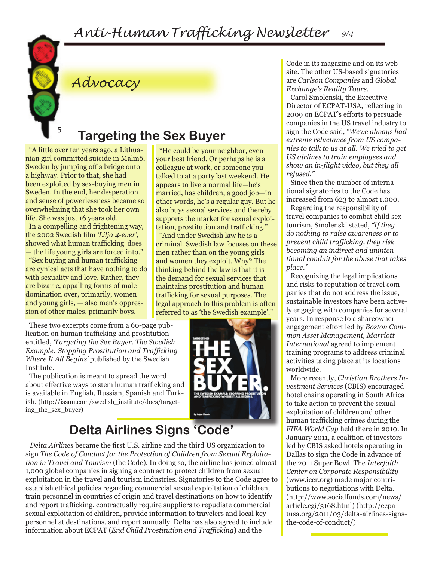"He could be your neighbor, even your best friend. Or perhaps he is a colleague at work, or someone you talked to at a party last weekend. He appears to live a normal life—he's married, has children, a good job—in



### *Advocacy*

### **Targeting the Sex Buyer**

"A little over ten years ago, a Lithuanian girl committed suicide in Malmö, Sweden by jumping off a bridge onto a highway. Prior to that, she had been exploited by sex-buying men in Sweden. In the end, her desperation and sense of powerlessness became so overwhelming that she took her own life. She was just 16 years old. In a compelling and frightening way, the 2002 Swedish film *'Lilja 4-ever'*, showed what human trafficking does — the life young girls are forced into." "Sex buying and human trafficking are cynical acts that have nothing to do with sexuality and love. Rather, they are bizarre, appalling forms of male domination over, primarily, women and young girls, — also men's oppres-

sion of other males, primarily boys."

These two excerpts come from a 60-page publication on human trafficking and prostitution entitled, *'Targeting the Sex Buyer. The Swedish Example: Stopping Prostitution and Trafficking Where It All Begins'* published by the Swedish Institute.

The publication is meant to spread the word about effective ways to stem human trafficking and is available in English, Russian, Spanish and Turkish. (http://issuu.com/swedish\_institute/docs/targeting\_the\_sex\_buyer)



legal approach to this problem is often referred to as 'the Swedish example'."

Code in its magazine and on its website. The other US-based signatories are *Carlson Companies* and *Global Exchange's Reality Tours.*

Carol Smolenski, the Executive Director of ECPAT-USA, reflecting in 2009 on ECPAT's efforts to persuade companies in the US travel industry to sign the Code said, *"We've always had extreme reluctance from US companies to talk to us at all. We tried to get US airlines to train employees and show an in-flight video, but they all refused."*

Since then the number of international signatories to the Code has increased from 623 to almost 1,000.

Regarding the responsibility of travel companies to combat child sex tourism, Smolenski stated, *"If they do nothing to raise awareness or to prevent child trafficking, they risk becoming an indirect and unintentional conduit for the abuse that takes place."*

Recognizing the legal implications and risks to reputation of travel companies that do not address the issue, sustainable investors have been actively engaging with companies for several years. In response to a shareowner engagement effort led by *Boston Common Asset Management, Marriott International* agreed to implement training programs to address criminal activities taking place at its locations worldwide.

More recently, *Christian Brothers Investment Services* (CBIS) encouraged hotel chains operating in South Africa to take action to prevent the sexual exploitation of children and other human trafficking crimes during the *FIFA World Cup* held there in 2010. In January 2011, a coalition of investors led by CBIS asked hotels operating in Dallas to sign the Code in advance of the 2011 Super Bowl. The *Interfaith Center on Corporate Responsibility* (www.iccr.org) made major contributions to negotiations with Delta. (http://www.socialfunds.com/news/ article.cgi/3168.html) (http://ecpatusa.org/2011/03/delta-airlines-signsthe-code-of-conduct/)

### **Delta Airlines Signs 'Code'**

*Delta Airlines* became the first U.S. airline and the third US organization to sign *The Code of Conduct for the Protection of Children from Sexual Exploitation in Travel and Tourism* (the Code). In doing so, the airline has joined almost 1,000 global companies in signing a contract to protect children from sexual exploitation in the travel and tourism industries. Signatories to the Code agree to establish ethical policies regarding commercial sexual exploitation of children, train personnel in countries of origin and travel destinations on how to identify and report trafficking, contractually require suppliers to repudiate commercial sexual exploitation of children, provide information to travelers and local key personnel at destinations, and report annually. Delta has also agreed to include information about ECPAT (*End Child Prostitution and Trafficking*) and the

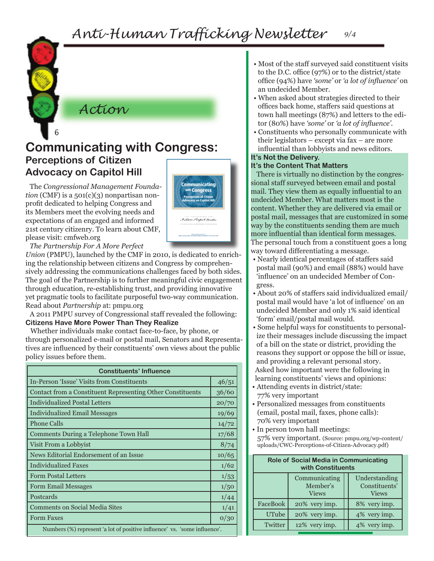

### 6 **Communicating with Congress: Perceptions of Citizen Advocacy on Capitol Hill**

The *Congressional Management Foundation* (CMF) is a 501(c)(3) nonpartisan nonprofit dedicated to helping Congress and its Members meet the evolving needs and expectations of an engaged and informed 21st century citizenry. To learn about CMF, please visit: cmfweb.org



*The Partnership For A More Perfect* 

*Union* (PMPU), launched by the CMF in 2010, is dedicated to enriching the relationship between citizens and Congress by comprehensively addressing the communications challenges faced by both sides. The goal of the Partnership is to further meaningful civic engagement through education, re-establishing trust, and providing innovative yet pragmatic tools to facilitate purposeful two-way communication. Read about *Partnership* at: pmpu.org

A 2011 PMPU survey of Congressional staff revealed the following: **Citizens Have More Power Than They Realize** 

Whether individuals make contact face-to-face, by phone, or through personalized e-mail or postal mail, Senators and Representatives are influenced by their constituents' own views about the public policy issues before them.

| <b>Constituents' Influence</b>                                            |      |  |
|---------------------------------------------------------------------------|------|--|
| In-Person 'Issue' Visits from Constituents                                |      |  |
| Contact from a Constituent Representing Other Constituents                |      |  |
| Individualized Postal Letters                                             |      |  |
| <b>Individualized Email Messages</b>                                      |      |  |
| <b>Phone Calls</b>                                                        |      |  |
| Comments During a Telephone Town Hall                                     |      |  |
| Visit From a Lobbyist                                                     |      |  |
| News Editorial Endorsement of an Issue                                    |      |  |
| <b>Individualized Faxes</b>                                               |      |  |
| <b>Form Postal Letters</b>                                                |      |  |
| <b>Form Email Messages</b>                                                |      |  |
| Postcards                                                                 | 1/44 |  |
| <b>Comments on Social Media Sites</b>                                     |      |  |
| <b>Form Faxes</b>                                                         | 0/30 |  |
| Numbers (%) represent 'a lot of positive influence' vs. 'some influence'. |      |  |

- Most of the staff surveyed said constituent visits to the D.C. office (97%) or to the district/state office (94%) have *'some'* or *'a lot of influence'* on an undecided Member.
- When asked about strategies directed to their offices back home, staffers said questions at town hall meetings (87%) and letters to the editor (80%) have *'some'* or *'a lot of influence'.*
- Constituents who personally communicate with their legislators – except via fax – are more influential than lobbyists and news editors.

#### **It's Not the Delivery.**

#### **It's the Content That Matters**

There is virtually no distinction by the congressional staff surveyed between email and postal mail. They view them as equally influential to an undecided Member. What matters most is the content. Whether they are delivered via email or postal mail, messages that are customized in some way by the constituents sending them are much more influential than identical form messages. The personal touch from a constituent goes a long way toward differentiating a message.

- Nearly identical percentages of staffers said postal mail (90%) and email (88%) would have 'influence' on an undecided Member of Congress.
- About 20% of staffers said individualized email/ postal mail would have 'a lot of influence' on an undecided Member and only 1% said identical 'form' email/postal mail would.
- Some helpful ways for constituents to personalize their messages include discussing the impact of a bill on the state or district, providing the reasons they support or oppose the bill or issue, and providing a relevant personal story. Asked how important were the following in learning constituents' views and opinions:
- Attending events in district/state: 77% very important
- Personalized messages from constituents (email, postal mail, faxes, phone calls): 70% very important
- In person town hall meetings: 57% very important. (Source: pmpu.org/wp-content/ uploads/CWC-Perceptions-of-Citizen-Advocacy.pdf)

| <b>Role of Social Media in Communicating</b><br>with Constituents |                                           |                                                |
|-------------------------------------------------------------------|-------------------------------------------|------------------------------------------------|
|                                                                   | Communicating<br>Member's<br><b>Views</b> | Understanding<br>Constituents'<br><b>Views</b> |
| FaceBook                                                          | 20% very imp.                             | 8% very imp.                                   |
| UTube                                                             | 20% very imp.                             | 4% very imp.                                   |
| Twitter                                                           | 12% very imp.                             | 4% very imp.                                   |